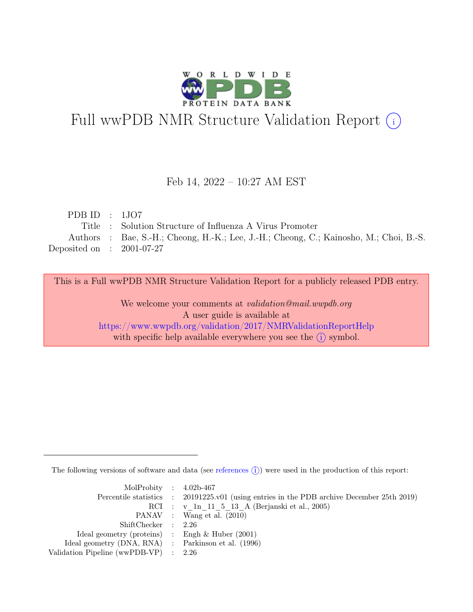

# Full wwPDB NMR Structure Validation Report (i)

### Feb 14, 2022 – 10:27 AM EST

| PDB ID : $1\text{JO7}$      |                                                                                        |
|-----------------------------|----------------------------------------------------------------------------------------|
|                             | Title : Solution Structure of Influenza A Virus Promoter                               |
|                             | Authors : Bae, S.-H.; Cheong, H.-K.; Lee, J.-H.; Cheong, C.; Kainosho, M.; Choi, B.-S. |
| Deposited on : $2001-07-27$ |                                                                                        |

This is a Full wwPDB NMR Structure Validation Report for a publicly released PDB entry.

We welcome your comments at *validation@mail.wwpdb.org* A user guide is available at <https://www.wwpdb.org/validation/2017/NMRValidationReportHelp> with specific help available everywhere you see the  $(i)$  symbol.

The following versions of software and data (see [references](https://www.wwpdb.org/validation/2017/NMRValidationReportHelp#references)  $\hat{I}$ ) were used in the production of this report:

| MolProbity : $4.02b-467$                            |                                                                                            |
|-----------------------------------------------------|--------------------------------------------------------------------------------------------|
|                                                     | Percentile statistics : 20191225.v01 (using entries in the PDB archive December 25th 2019) |
|                                                     | RCI : v 1n 11 5 13 A (Berjanski et al., 2005)                                              |
|                                                     | PANAV : Wang et al. (2010)                                                                 |
| ShiftChecker : 2.26                                 |                                                                                            |
| Ideal geometry (proteins) : Engh $\&$ Huber (2001)  |                                                                                            |
| Ideal geometry (DNA, RNA) : Parkinson et al. (1996) |                                                                                            |
| Validation Pipeline (wwPDB-VP) $\therefore$ 2.26    |                                                                                            |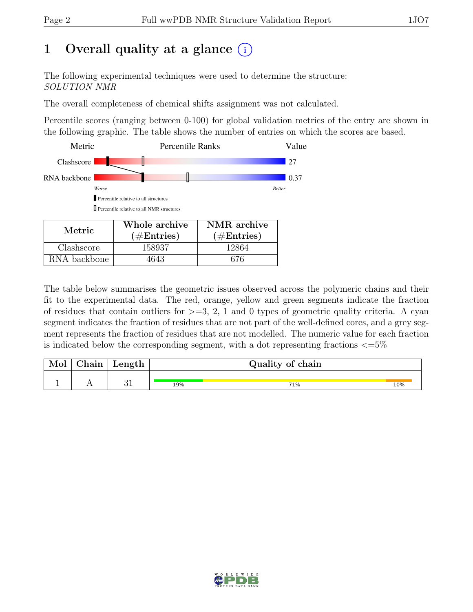# 1 Overall quality at a glance  $(i)$

The following experimental techniques were used to determine the structure: SOLUTION NMR

The overall completeness of chemical shifts assignment was not calculated.

Percentile scores (ranging between 0-100) for global validation metrics of the entry are shown in the following graphic. The table shows the number of entries on which the scores are based.



RNA backbone | 4643 | 676

The table below summarises the geometric issues observed across the polymeric chains and their fit to the experimental data. The red, orange, yellow and green segments indicate the fraction of residues that contain outliers for  $>=$  3, 2, 1 and 0 types of geometric quality criteria. A cyan segment indicates the fraction of residues that are not part of the well-defined cores, and a grey segment represents the fraction of residues that are not modelled. The numeric value for each fraction is indicated below the corresponding segment, with a dot representing fractions  $\epsilon = 5\%$ 

| Mol | hain/ | Length     |     | Quality of chain |     |
|-----|-------|------------|-----|------------------|-----|
|     |       | $^{\circ}$ | 19% | 71%              | 10% |

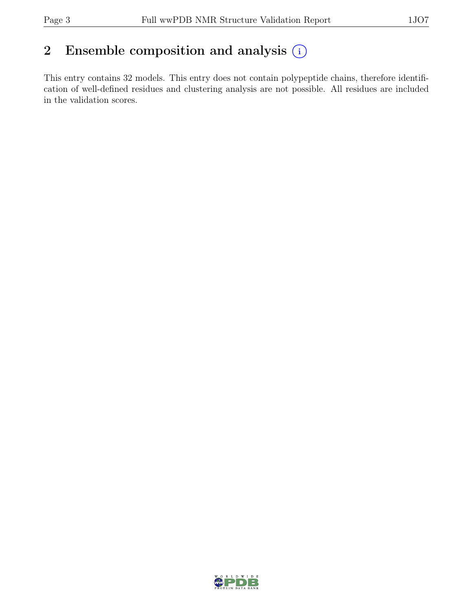# 2 Ensemble composition and analysis  $(i)$

This entry contains 32 models. This entry does not contain polypeptide chains, therefore identification of well-defined residues and clustering analysis are not possible. All residues are included in the validation scores.

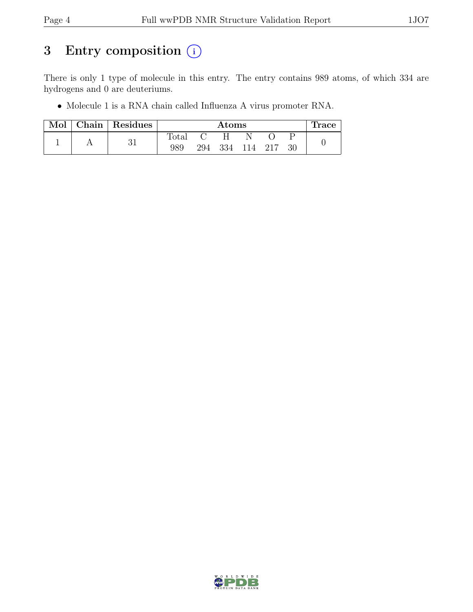# 3 Entry composition  $(i)$

There is only 1 type of molecule in this entry. The entry contains 989 atoms, of which 334 are hydrogens and 0 are deuteriums.

• Molecule 1 is a RNA chain called Influenza A virus promoter RNA.

| Mol | Chain   Residues |       | $\rm{Atoms}$ |                 |  |  |     |  |  |
|-----|------------------|-------|--------------|-----------------|--|--|-----|--|--|
|     |                  | Total |              | H.              |  |  |     |  |  |
|     | 31               | 989   |              | 294 334 114 217 |  |  | -30 |  |  |

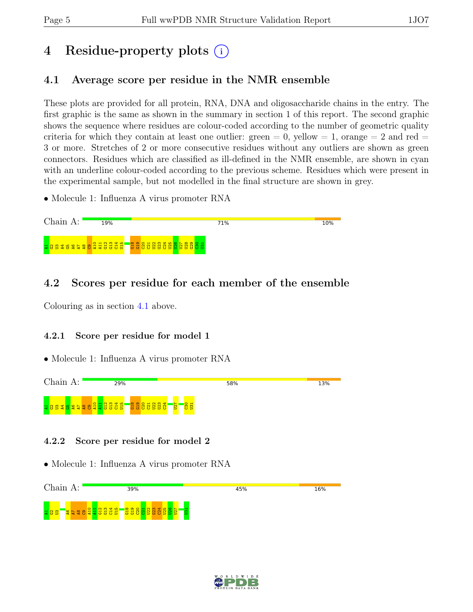# 4 Residue-property plots (i)

# <span id="page-4-0"></span>4.1 Average score per residue in the NMR ensemble

These plots are provided for all protein, RNA, DNA and oligosaccharide chains in the entry. The first graphic is the same as shown in the summary in section 1 of this report. The second graphic shows the sequence where residues are colour-coded according to the number of geometric quality criteria for which they contain at least one outlier:  $green = 0$ ,  $yellow = 1$ ,  $orange = 2$  and  $red =$ 3 or more. Stretches of 2 or more consecutive residues without any outliers are shown as green connectors. Residues which are classified as ill-defined in the NMR ensemble, are shown in cyan with an underline colour-coded according to the previous scheme. Residues which were present in the experimental sample, but not modelled in the final structure are shown in grey.

• Molecule 1: Influenza A virus promoter RNA



## 4.2 Scores per residue for each member of the ensemble

Colouring as in section [4.1](#page-4-0) above.

### 4.2.1 Score per residue for model 1

• Molecule 1: Influenza A virus promoter RNA



#### 4.2.2 Score per residue for model 2



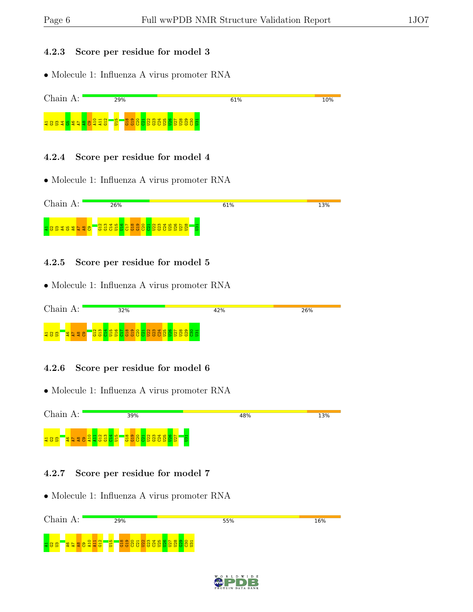#### 4.2.3 Score per residue for model 3

• Molecule 1: Influenza A virus promoter RNA



#### 4.2.4 Score per residue for model 4

• Molecule 1: Influenza A virus promoter RNA



#### 4.2.5 Score per residue for model 5

• Molecule 1: Influenza A virus promoter RNA



#### 4.2.6 Score per residue for model 6

• Molecule 1: Influenza A virus promoter RNA



#### 4.2.7 Score per residue for model 7

| Chain<br>А:                                                   | 29%                                                                    | 55% | 16% |
|---------------------------------------------------------------|------------------------------------------------------------------------|-----|-----|
| 유럽 <br>$\sim$<br><b>u</b> to<br>$\frac{4}{3}$<br>$\circ$<br>↽ | $\infty$<br>륢<br>↽<br><b>OB</b><br>lo o b b b b o o b<br>$\sigma$<br>υ |     |     |

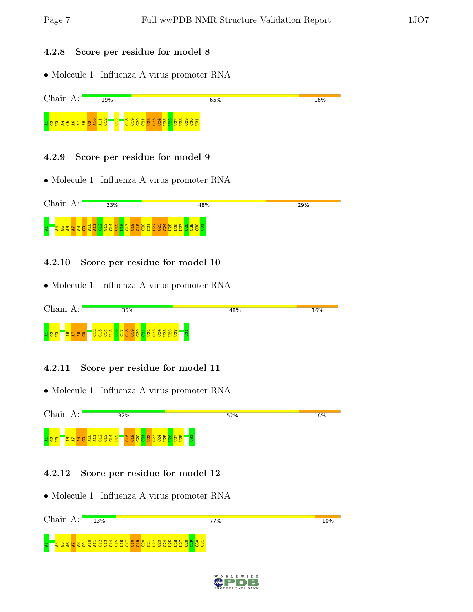#### 4.2.8 Score per residue for model 8

• Molecule 1: Influenza A virus promoter RNA



#### 4.2.9 Score per residue for model 9

• Molecule 1: Influenza A virus promoter RNA



#### 4.2.10 Score per residue for model 10

• Molecule 1: Influenza A virus promoter RNA

| nain<br>$\Gamma$ .                                | 35%                                              | 48%                                                                            | 16% |
|---------------------------------------------------|--------------------------------------------------|--------------------------------------------------------------------------------|-----|
| $\sim$<br>$\infty$<br>ಇ ರಿ<br>$\blacksquare$<br>ಀ | 는<br>18888888<br>ق<br>O.<br><u>ಲ 5</u><br>O<br>ಲ | $\mathbf{\mathbf{\mathbf{\mathbf{\mathbf{\mathbf{\mathbf{H}}}}}}}$<br><b>B</b> |     |

#### 4.2.11 Score per residue for model 11

• Molecule 1: Influenza A virus promoter RNA

| Chain. | 32%                                                                                                                                                        | 52%      | 16% |
|--------|------------------------------------------------------------------------------------------------------------------------------------------------------------|----------|-----|
|        | $O$ $\rightarrow$ $N$ $\omega$ $\rightarrow$ $\sim$ $\rightarrow$<br>െ<br>$\infty$<br><b>8228865</b><br>$\overline{ }$<br>18 S S<br>86 B<br><b>CS</b><br>œ | Б<br>- 6 |     |

#### 4.2.12 Score per residue for model 12

| Chain<br>$\mathbf{A}$ . | 13% | 77% | 10% |
|-------------------------|-----|-----|-----|
|                         |     |     |     |

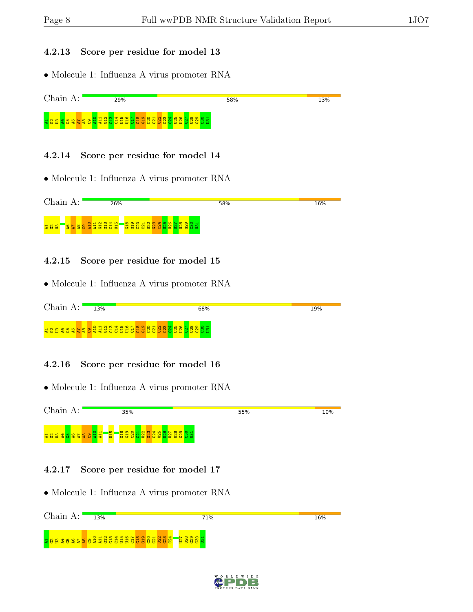#### 4.2.13 Score per residue for model 13

• Molecule 1: Influenza A virus promoter RNA



### 4.2.14 Score per residue for model 14

• Molecule 1: Influenza A virus promoter RNA



### 4.2.15 Score per residue for model 15

• Molecule 1: Influenza A virus promoter RNA



### 4.2.16 Score per residue for model 16

• Molecule 1: Influenza A virus promoter RNA



### 4.2.17 Score per residue for model 17



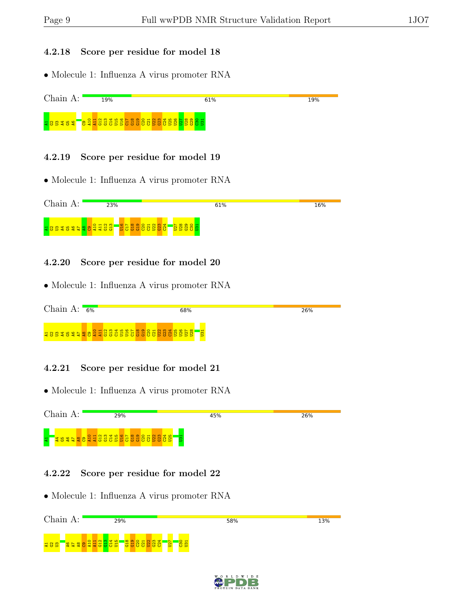#### 4.2.18 Score per residue for model 18

• Molecule 1: Influenza A virus promoter RNA



#### 4.2.19 Score per residue for model 19

• Molecule 1: Influenza A virus promoter RNA



#### 4.2.20 Score per residue for model 20

• Molecule 1: Influenza A virus promoter RNA



#### 4.2.21 Score per residue for model 21

• Molecule 1: Influenza A virus promoter RNA

|   |                                                                                                                        |  | 29% |  |  |  |   | 45% | 26% |  |
|---|------------------------------------------------------------------------------------------------------------------------|--|-----|--|--|--|---|-----|-----|--|
| 불 | <b>Expertise of the second of the second second second the second second second second second second second second</b> |  |     |  |  |  | b |     |     |  |

#### 4.2.22 Score per residue for model 22

| $\cap$ 1.<br>$\sim$ 1 $\sim$<br>п. | 29%                                                                           | 58%                | 13% |
|------------------------------------|-------------------------------------------------------------------------------|--------------------|-----|
|                                    |                                                                               |                    |     |
|                                    |                                                                               |                    |     |
|                                    | $\circ$<br>$\overline{ }$<br>÷<br>œ                                           |                    |     |
| <b>H8S</b>                         | $\overline{\phantom{a}}$<br>는<br>÷<br>èn.<br><b>C5</b><br>ಲ<br>$\blacksquare$ | $\frac{8}{5}$<br>Б |     |
|                                    |                                                                               |                    |     |

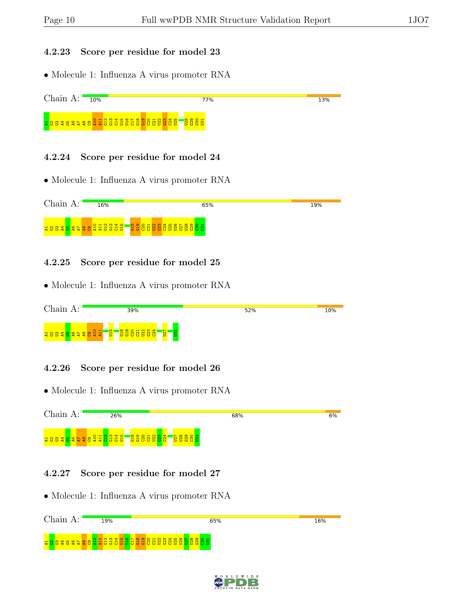#### 4.2.23 Score per residue for model 23

• Molecule 1: Influenza A virus promoter RNA



#### 4.2.24 Score per residue for model 24

• Molecule 1: Influenza A virus promoter RNA



#### 4.2.25 Score per residue for model 25

• Molecule 1: Influenza A virus promoter RNA

| Chain<br>А:                                     | 39%                   | 52% | 10% |
|-------------------------------------------------|-----------------------|-----|-----|
| $Q_{\rm H}$<br><b>285</b><br>2228<br>∕ਵਲ<br>$-$ | 慣<br>s<br>.<br>۰<br>ಅ |     |     |

#### 4.2.26 Score per residue for model 26

• Molecule 1: Influenza A virus promoter RNA



#### 4.2.27 Score per residue for model 27

| Chain<br>$\Delta \cdot$ | 19%                  | 65%                                | 16% |
|-------------------------|----------------------|------------------------------------|-----|
|                         | <del>- 이 및</del> 플로그 | 3 B<br>-22<br>ь<br>888<br>Б<br>- 5 |     |

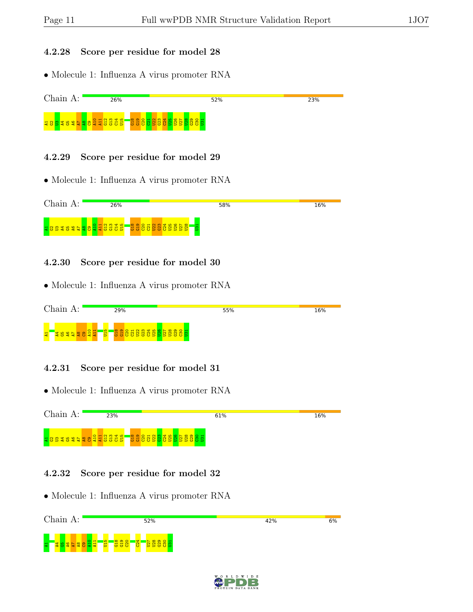#### 4.2.28 Score per residue for model 28

• Molecule 1: Influenza A virus promoter RNA



#### 4.2.29 Score per residue for model 29

• Molecule 1: Influenza A virus promoter RNA



#### 4.2.30 Score per residue for model 30

• Molecule 1: Influenza A virus promoter RNA

| $\cap$<br>an |  |  |  | 29% |   |   |                                         |  |                | 55% | 16% |     |          |   |  |  |  |  |  |  |  |  |  |
|--------------|--|--|--|-----|---|---|-----------------------------------------|--|----------------|-----|-----|-----|----------|---|--|--|--|--|--|--|--|--|--|
| 보            |  |  |  |     | - | ▰ | $\overline{\circ}$ $\overline{\bullet}$ |  | <u>یں</u><br>ь | でち  | C.  | lo. | <u>ಾ</u> | Б |  |  |  |  |  |  |  |  |  |

#### 4.2.31 Score per residue for model 31

• Molecule 1: Influenza A virus promoter RNA



#### 4.2.32 Score per residue for model 32

| Chain.<br>$A$ :                    | 52%    | 6%<br>42% |  |
|------------------------------------|--------|-----------|--|
| $\blacksquare$<br>晕<br>Æ<br>ಲ<br>O | ь<br>Þ |           |  |

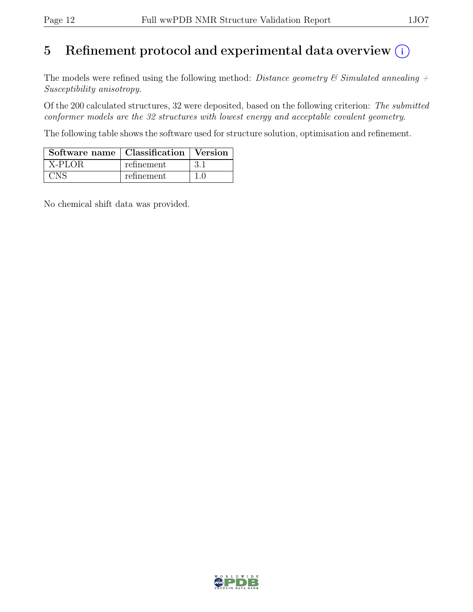# 5 Refinement protocol and experimental data overview  $(i)$

The models were refined using the following method: Distance geometry  $\mathcal C$  Simulated annealing  $+$ Susceptibility anisotropy.

Of the 200 calculated structures, 32 were deposited, based on the following criterion: The submitted conformer models are the 32 structures with lowest energy and acceptable covalent geometry.

The following table shows the software used for structure solution, optimisation and refinement.

| Software name   Classification   Version |            |  |
|------------------------------------------|------------|--|
| X-PLOR                                   | refinement |  |
|                                          | refinement |  |

No chemical shift data was provided.

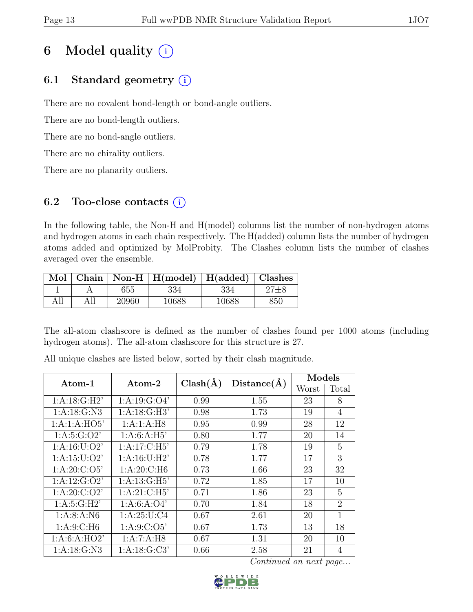# 6 Model quality  $(i)$

# 6.1 Standard geometry  $(i)$

There are no covalent bond-length or bond-angle outliers.

There are no bond-length outliers.

There are no bond-angle outliers.

There are no chirality outliers.

There are no planarity outliers.

# 6.2 Too-close contacts  $(i)$

In the following table, the Non-H and H(model) columns list the number of non-hydrogen atoms and hydrogen atoms in each chain respectively. The H(added) column lists the number of hydrogen atoms added and optimized by MolProbity. The Clashes column lists the number of clashes averaged over the ensemble.

| Mol  |     |       | Chain   Non-H   $H$ (model)   $H$ (added)   Clashes |       |     |
|------|-----|-------|-----------------------------------------------------|-------|-----|
|      |     | 655   | 334                                                 | 334   |     |
| A 11 | All | 20960 | 10688                                               | 10688 | 850 |

The all-atom clashscore is defined as the number of clashes found per 1000 atoms (including hydrogen atoms). The all-atom clashscore for this structure is 27.

| $\rm{Atom-1}$    | $\rm{Atom}\text{-}2$ | $Clash(\AA)$ | Distance(A) | Models |                |  |
|------------------|----------------------|--------------|-------------|--------|----------------|--|
|                  |                      |              |             | Worst  | Total          |  |
| 1:A:18:G:H2'     | 1: A: 19: G: O4'     | 0.99         | 1.55        | 23     | 8              |  |
| 1: A: 18: G: N3  | 1: A:18: G:H3'       | 0.98         | 1.73        | 19     | $\overline{4}$ |  |
| 1:A:1:A:HO5      | 1:A:1:A:H8           | 0.95         | 0.99        | 28     | 12             |  |
| 1: A:5: G:O2'    | 1: A:6: A:H5'        | 0.80         | 1.77        | 20     | 14             |  |
| 1: A: 16: U: O2' | 1: A:17: C:H5'       | 0.79         | 1.78        | 19     | 5              |  |
| 1: A: 15: U: O2' | 1: A:16: U:H2'       | 0.78         | 1.77        | 17     | 3              |  |
| 1: A:20: C:O5'   | 1: A:20: C: H6       | 0.73         | 1.66        | 23     | 32             |  |
| 1:A:12:G:O2'     | 1: A: 13: G: H5'     | 0.72         | 1.85        | 17     | 10             |  |
| 1: A:20: C:O2'   | 1: A:21: C:H5'       | 0.71         | 1.86        | 23     | 5              |  |
| 1: A:5: G:H2'    | 1: A:6: A:O4'        | 0.70         | 1.84        | 18     | $\overline{2}$ |  |
| 1: A:8: A: N6    | 1: A:25: U: C4       | 0.67         | 2.61        | 20     | 1              |  |
| 1: A:9:C:H6      | 1: A:9: C:O5'        | 0.67         | 1.73        | 13     | 18             |  |
| 1: A:6: A:HO2'   | 1:A:7:A:H8           | 0.67         | 1.31        | 20     | 10             |  |
| 1: A: 18: G: N3  | 1: A: 18: G: C3'     | 0.66         | 2.58        | 21     | 4              |  |

All unique clashes are listed below, sorted by their clash magnitude.

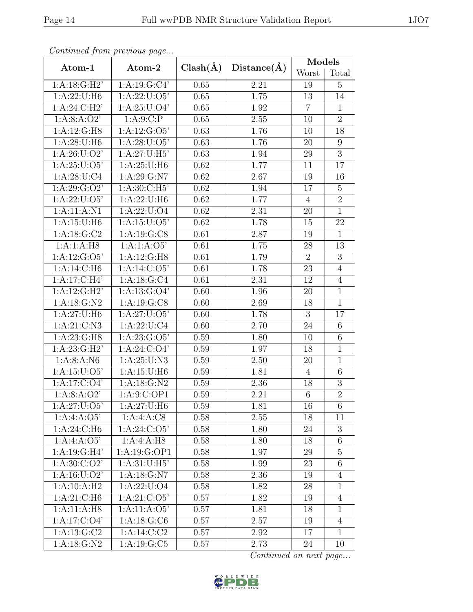|                           | Continuea from previous page |              |                   | Models         |                  |  |
|---------------------------|------------------------------|--------------|-------------------|----------------|------------------|--|
| Atom-1                    | Atom-2                       | $Clash(\AA)$ | Distance(A)       | Worst          | Total            |  |
| 1: A:18: G:H2'            | 1:A:19:G:C4'                 | 0.65         | 2.21              | 19             | $\overline{5}$   |  |
| 1: A:22: U:H6             | 1: A:22: U:O5'               | 0.65         | 1.75              | 13             | 14               |  |
| 1: A:24: C:H2'            | 1: A:25: U:O4'               | 0.65         | 1.92              | $\overline{7}$ | $\mathbf{1}$     |  |
| 1: A:8: A:O2'             | 1:A:9:C:P                    | 0.65         | 2.55              | 10             | $\overline{2}$   |  |
| 1:A:12:G:H8               | 1: A: 12: G: O5'             | 0.63         | 1.76              | 10             | 18               |  |
| 1: A:28:U:H6              | 1: A:28: U:O5'               | 0.63         | 1.76              | 20             | $\boldsymbol{9}$ |  |
| 1: A:26: U:O2'            | 1: A:27: U:H5'               | 0.63         | 1.94              | 29             | $\overline{3}$   |  |
| 1: A:25: U:O5'            | 1: A:25: U:H6                | 0.62         | 1.77              | 11             | 17               |  |
| 1: A:28: U: C4            | 1:A:29:G:N7                  | 0.62         | 2.67              | 19             | 16               |  |
| 1: A:29: G:O2'            | 1: A:30: C: H5'              | 0.62         | 1.94              | 17             | $\overline{5}$   |  |
| 1: A:22: U:O5'            | 1:A:22:U:H6                  | 0.62         | 1.77              | $\overline{4}$ | $\overline{2}$   |  |
| 1: A: 11: A: N1           | 1: A:22: U:O4                | 0.62         | 2.31              | 20             | $\overline{1}$   |  |
| 1: A: 15: U:H6            | 1: A: 15: U: O5'             | 0.62         | 1.78              | 15             | 22               |  |
| 1: A: 18: G: C2           | 1:A:19:G:CS                  | 0.61         | 2.87              | 19             | $\mathbf{1}$     |  |
| 1:A:1:A:H8                | 1:A:1:A:O5'                  | 0.61         | $1.75\,$          | 28             | 13               |  |
| 1: A:12: G:O5'            | 1: A:12: G:H8                | 0.61         | 1.79              | $\overline{2}$ | 3                |  |
| 1:A:14:C:H6               | 1: A:14: C:O5'               | 0.61         | 1.78              | 23             | $\overline{4}$   |  |
| 1:A:17:C:H4'              | 1: A: 18: G: C4              | 0.61         | 2.31              | 12             | $\overline{4}$   |  |
| 1:A:12:G:H2'              | 1: A: 13: G: O4'             | 0.60         | 1.96              | 20             | $\overline{1}$   |  |
| 1: A: 18: G: N2           | 1: A: 19: G: C8              | 0.60         | 2.69              | 18             | $\mathbf{1}$     |  |
| 1:A:27:U:H6               | 1: A:27: U:O5'               | 0.60         | 1.78              | $\overline{3}$ | 17               |  |
| 1: A:21: C: N3            | 1: A:22: U: C4               | 0.60         | 2.70              | 24             | 6                |  |
| 1: A:23: G:H8             | 1: A: 23: G: O5'             | 0.59         | 1.80              | 10             | $\overline{6}$   |  |
| 1: A:23: G:H2'            | 1: A:24: C:O4'               | 0.59         | 1.97              | 18             | $\mathbf{1}$     |  |
| 1: A:8: A: N6             | $1:A:25:\overline{U:N3}$     | 0.59         | 2.50              | 20             | $\mathbf{1}$     |  |
| 1: A: 15: U: O5'          | 1:A:15:U:H6                  | 0.59         | 1.81              | $\overline{4}$ | $6\,$            |  |
| 1:A:17:C:O4'              | 1:A:18:G:N2                  | 0.59         | 2.36              | 18             | $\overline{3}$   |  |
| 1: A:8: A:O2'             | 1:A:9:C:OP1                  | 0.59         | $\overline{2.21}$ | $\,6$          | $\overline{2}$   |  |
| 1: A:27: U:O5'            | 1: A:27: U:H6                | 0.59         | 1.81              | 16             | 6                |  |
| 1:A:4:A:O5'               | 1:A:4:A:CS                   | 0.58         | 2.55              | 18             | 11               |  |
| 1:A:24:C:H6               | 1: A:24: C:O5'               | 0.58         | 1.80              | 24             | 3                |  |
| 1: A: 4: A: O5'           | 1:A:4:A:H8                   | 0.58         | 1.80              | 18             | $\sqrt{6}$       |  |
| $1:A:19:G:\overline{H4'}$ | 1:A:19:G:OP1                 | 0.58         | 1.97              | 29             | $\overline{5}$   |  |
| 1: A:30: C:O2'            | 1: A:31: U:H5'               | 0.58         | 1.99              | 23             | $6\,$            |  |
| 1: A: 16: U: O2'          | 1: A: 18: G: N7              | 0.58         | 2.36              | 19             | $\overline{4}$   |  |
| 1:A:10:A:H2               | 1: A:22: U:O4                | 0.58         | 1.82              | 28             | $\mathbf{1}$     |  |
| 1:A:21:C:H6               | $1:A:21:C:O\overline{5}$     | 0.57         | 1.82              | 19             | $\overline{4}$   |  |
| 1:A:11:A:H8               | 1:A:11:A:O5'                 | 0.57         | 1.81              | 18             | $\mathbf{1}$     |  |
| 1:A:17:C:O4'              | 1: A: 18: G: C6              | 0.57         | 2.57              | 19             | $\overline{4}$   |  |
| 1: A: 13: G: C2           | $1:A:14:C:\overline{C2}$     | 0.57         | 2.92              | 17             | $\mathbf{1}$     |  |
| 1: A: 18: G: N2           | 1: A: 19: G: C5              | 0.57         | 2.73              | 24             | 10               |  |

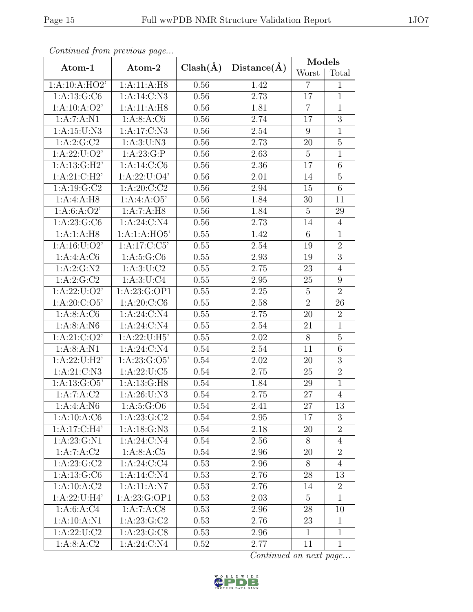|                  | Continuea from previous page |              |                   | Models          |                |
|------------------|------------------------------|--------------|-------------------|-----------------|----------------|
| Atom-1           | Atom-2                       | $Clash(\AA)$ | Distance(A)       | Worst           | Total          |
| 1:A:10:A:HO2'    | 1:A:11:A:H8                  | 0.56         | 1.42              | $\overline{7}$  | $\mathbf{1}$   |
| 1:A:13:G:C6      | 1: A:14: C: N3               | 0.56         | 2.73              | 17              | $\mathbf{1}$   |
| 1:A:10:A:O2'     | 1:A:11:A:H8                  | 0.56         | 1.81              | $\overline{7}$  | $\mathbf{1}$   |
| 1:A:7:A:N1       | 1: A:8: A:C6                 | 0.56         | 2.74              | 17              | $\overline{3}$ |
| 1: A: 15: U: N3  | 1:A:17:C:N3                  | 0.56         | 2.54              | 9               | $\mathbf{1}$   |
| 1:A:2:G:C2       | 1: A:3: U:N3                 | 0.56         | 2.73              | 20              | $\overline{5}$ |
| 1: A:22: U:O2'   | 1:A:23:G:P                   | 0.56         | 2.63              | $\overline{5}$  | $\mathbf{1}$   |
| 1: A: 13: G:H2'  | 1: A:14: C: C6               | 0.56         | 2.36              | 17              | 6              |
| 1:A:21:C:H2'     | 1: A:22: U:O4'               | 0.56         | 2.01              | 14              | $\overline{5}$ |
| 1:A:19:G:C2      | 1: A:20: C:C2                | 0.56         | 2.94              | 15              | 6              |
| 1:A:4:A:H8       | 1:A:4:A:O5'                  | 0.56         | 1.84              | 30              | 11             |
| 1: A:6: A:O2'    | 1:A:7:A:H8                   | 0.56         | 1.84              | $\overline{5}$  | 29             |
| 1: A:23: G: C6   | 1: A:24: C: N4               | 0.56         | 2.73              | 14              | $\overline{4}$ |
| 1:A:1:A:H8       | 1:A:1:A:HO5'                 | $0.55\,$     | 1.42              | $6\phantom{.}6$ | $\mathbf{1}$   |
| 1: A: 16: U: O2' | 1: A:17: C: C5'              | 0.55         | 2.54              | 19              | $\sqrt{2}$     |
| 1:A:4:A:CG       | 1: A:5: G: C6                | 0.55         | 2.93              | 19              | $\overline{3}$ |
| 1: A:2: G:N2     | 1: A:3: U: C2                | 0.55         | 2.75              | $23\,$          | $\overline{4}$ |
| 1:A:2:G:C2       | 1: A:3: U: C4                | 0.55         | 2.95              | 25              | 9              |
| 1: A:22: U:O2'   | 1:A:23:G:OP1                 | 0.55         | 2.25              | $\overline{5}$  | $\overline{2}$ |
| 1: A:20: C:O5'   | 1: A:20: C:CO                | 0.55         | 2.58              | $\overline{2}$  | 26             |
| 1: A:8: A:C6     | 1:A:24:C:N4                  | 0.55         | 2.75              | 20              | $\overline{2}$ |
| 1: A:8: A: N6    | 1: A:24: C: N4               | 0.55         | 2.54              | 21              | $\mathbf{1}$   |
| 1: A:21: C:O2'   | 1: A:22: U:H5'               | 0.55         | $\overline{2.02}$ | $\overline{8}$  | $\overline{5}$ |
| 1: A:8: A: N1    | 1:A:24:C:N4                  | 0.54         | 2.54              | 11              | $\,$ 6 $\,$    |
| 1:A:22:U:H2'     | 1: A:23: G:O5'               | 0.54         | 2.02              | 20              | 3              |
| 1:A:21:C:N3      | 1: A:22: U: C5               | 0.54         | 2.75              | 25              | $\overline{2}$ |
| 1: A: 13: G: O5' | 1: A: 13: G: H8              | 0.54         | 1.84              | 29              | $\mathbf{1}$   |
| 1:A:7:A:C2       | 1:A:26:U:N3                  | 0.54         | $2.75\,$          | $27\,$          | $\sqrt{4}$     |
| 1: A:4: A: N6    | 1: A:5: G:O6                 | 0.54         | 2.41              | 27              | 13             |
| 1:A:10:A:C6      | 1: A:23: G:C2                | 0.54         | 2.95              | 17              | 3              |
| 1: A:17: C:H4'   | 1: A:18: G:N3                | 0.54         | 2.18              | 20              | $\overline{2}$ |
| 1: A: 23: G: N1  | 1: A:24: C: N4               | 0.54         | 2.56              | 8               | $\overline{4}$ |
| 1:A:7:A:C2       | 1:A:8:A:C5                   | 0.54         | 2.96              | 20              | $\overline{2}$ |
| 1: A:23: G:C2    | 1: A:24: C:C4                | 0.53         | 2.96              | 8               | $\overline{4}$ |
| 1: A: 13: G: C6  | 1: A:14: C: N4               | 0.53         | 2.76              | 28              | 13             |
| 1:A:10:A:C2      | 1:A:11:A:N7                  | 0.53         | 2.76              | 14              | $\overline{2}$ |
| 1: A:22: U:H4'   | 1: A:23: G:OP1               | 0.53         | 2.03              | $5\overline{)}$ | $\mathbf{1}$   |
| 1: A:6: A:C4     | 1:A:7:A:C8                   | 0.53         | 2.96              | 28              | 10             |
| 1:A:10:A:N1      | 1: A:23: G:C2                | 0.53         | 2.76              | 23              | $\mathbf{1}$   |
| 1: A:22: U: C2   | 1: A:23: G: C8               | 0.53         | 2.96              | $\mathbf{1}$    | $\mathbf{1}$   |
| 1: A:8: A:C2     | 1: A:24: C: N4               | 0.52         | 2.77              | 11              | $\mathbf{1}$   |

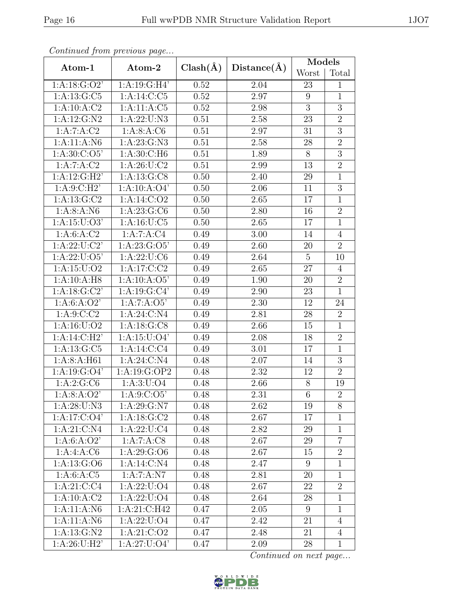|                  | Continuea from previous page |              |             | $\text{Models}$ |                |
|------------------|------------------------------|--------------|-------------|-----------------|----------------|
| Atom-1           | Atom-2                       | $Clash(\AA)$ | Distance(A) | Worst           | Total          |
| 1: A: 18: G: O2' | 1:A:19:G:H4'                 | 0.52         | 2.04        | 23              | $\mathbf{1}$   |
| 1: A: 13: G: C5  | 1:A:14:C:C5                  | 0.52         | 2.97        | $9\phantom{.}$  | $\mathbf{1}$   |
| 1:A:10:A:C2      | 1: A: 11: A: C5              | 0.52         | 2.98        | 3               | $\overline{3}$ |
| 1:A:12:G:N2      | 1: A:22: U: N3               | 0.51         | 2.58        | $\overline{23}$ | $\overline{2}$ |
| 1:A:7:A:C2       | 1: A:8: A:C6                 | 0.51         | 2.97        | 31              | $\sqrt{3}$     |
| 1:A:11:A:N6      | 1: A: 23: G: N3              | 0.51         | 2.58        | 28              | $\overline{2}$ |
| 1: A:30: C:O5'   | 1: A:30: C:H6                | 0.51         | 1.89        | 8               | $\overline{3}$ |
| 1:A:7:A:C2       | 1: A:26: U: C2               | 0.51         | 2.99        | 13              | $\overline{2}$ |
| 1:A:12:G:H2'     | 1:A:13:G:CS                  | 0.50         | 2.40        | $29\,$          | $\mathbf{1}$   |
| 1: A:9:C:H2'     | 1:A:10:A:O4'                 | 0.50         | 2.06        | 11              | 3              |
| 1: A:13: G:C2    | 1:A:14:C:O2                  | 0.50         | 2.65        | 17              | $\mathbf{1}$   |
| 1: A:8: A: N6    | 1: A:23: G: C6               | 0.50         | 2.80        | 16              | $\overline{2}$ |
| 1: A: 15: U: O3' | 1: A: 16: U: C5              | 0.50         | 2.65        | 17              | $\mathbf{1}$   |
| 1: A:6: A:C2     | 1:A:7:A:C4                   | 0.49         | 3.00        | 14              | $\overline{4}$ |
| 1: A:22: U: C2'  | 1: A:23: G:O5'               | 0.49         | 2.60        | $20\,$          | $\overline{2}$ |
| 1: A:22: U:O5'   | 1:A:22:U:C6                  | 0.49         | 2.64        | $\overline{5}$  | 10             |
| 1: A: 15: U: O2  | 1: A:17: C: C2               | 0.49         | 2.65        | 27              | $\overline{4}$ |
| 1:A:10:A:H8      | 1:A:10:A:O5'                 | 0.49         | 1.90        | 20              | $\overline{2}$ |
| 1: A: 18: G: C2' | 1:A:19:G:C4'                 | 0.49         | 2.90        | 23              | $\overline{1}$ |
| 1: A:6: A:O2'    | 1:A:7:A:O5'                  | 0.49         | 2.30        | 12              | 24             |
| 1: A:9:C:C2      | 1:A:24:C:N4                  | 0.49         | 2.81        | 28              | $\overline{2}$ |
| 1: A: 16: U: O2  | 1: A: 18: G: C8              | 0.49         | 2.66        | 15              | $\mathbf{1}$   |
| 1:A:14:C:H2      | 1: A: 15: U: O4'             | 0.49         | 2.08        | 18              | $\overline{2}$ |
| 1:A:13:G:C5      | 1:A:14:C:C4                  | 0.49         | 3.01        | 17              | $\mathbf{1}$   |
| 1: A:8: A: H61   | 1:A:24:C:N4                  | 0.48         | 2.07        | 14              | 3              |
| 1: A: 19: G: O4' | 1:A:19:G:OP2                 | 0.48         | 2.32        | 12              | $\overline{2}$ |
| 1:A:2:G:C6       | 1: A:3: U: O4                | 0.48         | 2.66        | 8               | 19             |
| 1: A:8: A:O2'    | 1: A:9:C:O5'                 | 0.48         | 2.31        | $\overline{6}$  | $\overline{2}$ |
| 1: A:28: U: N3   | 1: A:29: G: N7               | 0.48         | 2.62        | 19              | 8              |
| 1: A: 17: C: O4' | 1: A: 18: G: C2              | 0.48         | 2.67        | 17              | 1              |
| 1: A:21: C: N4   | 1: A:22: U: C4               | 0.48         | 2.82        | 29              | 1              |
| 1: A:6: A:O2'    | 1:A:7:A:CS                   | 0.48         | 2.67        | 29              | $\overline{7}$ |
| 1:A:4:A:CG       | 1: A:29: G:O6                | 0.48         | 2.67        | 15              | $\overline{2}$ |
| 1: A: 13: G: O6  | 1: A:14: C: N4               | 0.48         | 2.47        | 9               | $\mathbf{1}$   |
| 1: A:6: A:C5     | 1:A:7:A:N7                   | 0.48         | 2.81        | 20              | $\mathbf{1}$   |
| 1: A:21: C: C4   | 1: A:22: U:O4                | 0.48         | 2.67        | 22              | $\overline{2}$ |
| 1: A: 10: A: C2  | 1: A:22: U:O4                | 0.48         | 2.64        | 28              | $\mathbf{1}$   |
| 1:A:11:A:N6      | 1:A:21:C:H42                 | 0.47         | $2.05\,$    | 9               | $\mathbf{1}$   |
| 1: A: 11: A: N6  | 1: A:22: U:O4                | 0.47         | 2.42        | 21              | $\overline{4}$ |
| 1: A: 13: G: N2  | 1: A:21: C:O2                | 0.47         | 2.48        | 21              | $\overline{4}$ |
| 1: A:26:U:H2'    | 1: A:27: U:O4'               | 0.47         | 2.09        | 28              | $\mathbf{1}$   |

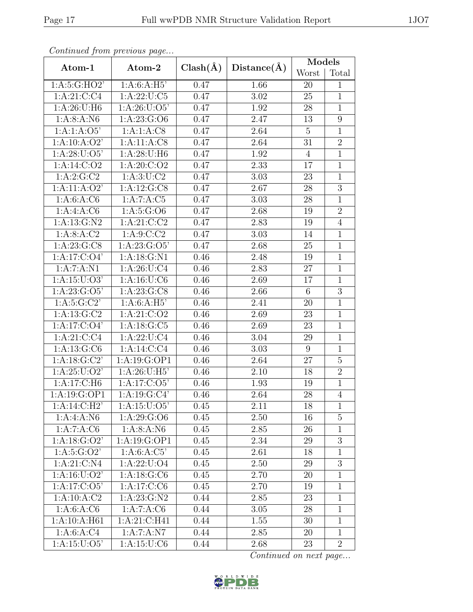|                         | Continuea from previous page |              |                   | Models         |                  |
|-------------------------|------------------------------|--------------|-------------------|----------------|------------------|
| Atom-1                  | Atom-2                       | $Clash(\AA)$ | Distance(A)       | Worst          | Total            |
| 1: A:5: G:HO2'          | 1:A:6:A:H5'                  | 0.47         | 1.66              | 20             | 1                |
| 1: A:21: C: C4          | 1: A:22: U: C5               | 0.47         | 3.02              | 25             | $\mathbf{1}$     |
| 1: A:26: U:H6           | 1: A:26: U:O5'               | 0.47         | 1.92              | 28             | $\mathbf{1}$     |
| 1: A:8: A: N6           | 1:A:23:G:O6                  | 0.47         | 2.47              | 13             | 9                |
| 1:A:1:A:O5'             | 1:A:1:A:CS                   | 0.47         | 2.64              | $\overline{5}$ | $\mathbf{1}$     |
| 1:A:10:A:O2'            | 1:A:11:A:C8                  | 0.47         | $\overline{2.64}$ | 31             | $\overline{2}$   |
| 1: A:28: U:O5'          | 1: A:28: U:H6                | 0.47         | 1.92              | $\overline{4}$ | $\overline{1}$   |
| 1: A:14: C:O2           | 1: A:20: C:O2                | 0.47         | 2.33              | 17             | $\mathbf{1}$     |
| 1: A:2: G:C2            | 1: A:3: U: C2                | 0.47         | 3.03              | 23             | $\mathbf{1}$     |
| 1:A:11:A:O2'            | 1: A: 12: G: C8              | 0.47         | 2.67              | 28             | 3                |
| 1:A:6:A:C6              | 1:A:7:A:C5                   | 0.47         | 3.03              | $28\,$         | $\mathbf{1}$     |
| 1:A:4:A:CG              | 1: A:5: G:O6                 | 0.47         | 2.68              | 19             | $\overline{2}$   |
| 1:A:13:G:N2             | 1: A:21: C: C2               | 0.47         | 2.83              | 19             | $\overline{4}$   |
| 1: A:8: A:C2            | 1: A:9:C:C2                  | 0.47         | 3.03              | 14             | $\mathbf{1}$     |
| 1: A:23: G: C8          | 1: A: 23: G: O5'             | 0.47         | 2.68              | 25             | $\mathbf{1}$     |
| 1: A:17: C:O4'          | 1:A:18:G:N1                  | 0.46         | 2.48              | 19             | $\mathbf{1}$     |
| 1:A:7:A:N1              | 1: A:26: U: C4               | 0.46         | 2.83              | 27             | $\mathbf{1}$     |
| 1: A: 15: U: O3'        | 1: A: 16: U: C6              | 0.46         | 2.69              | 17             | $\mathbf{1}$     |
| 1: A: 23: G: O5'        | 1: A:23: G: C8               | 0.46         | 2.66              | $\,6$          | $\overline{3}$   |
| 1: A: 5: G: C2'         | 1:A:6:A:H5'                  | 0.46         | 2.41              | 20             | $\mathbf{1}$     |
| 1:A:13:G:C2             | 1:A:21:C:O2                  | 0.46         | 2.69              | 23             | $\overline{1}$   |
| 1:A:17:C:O4'            | 1: A: 18: G: C5              | 0.46         | 2.69              | 23             | $\mathbf{1}$     |
| 1:A:21:C:C4             | 1: A:22: U: C4               | 0.46         | 3.04              | 29             | $\mathbf{1}$     |
| 1: A: 13: G: C6         | 1: A:14: C: C4               | 0.46         | 3.03              | 9              | $\mathbf{1}$     |
| 1: A: 18: G: C2'        | 1: A: 19: G: OP1             | 0.46         | 2.64              | 27             | $\overline{5}$   |
| 1: A:25: U:O2'          | 1: A:26: U:H5'               | 0.46         | 2.10              | 18             | $\overline{2}$   |
| 1:A:17:C:H6             | 1: A:17: C:O5'               | 0.46         | 1.93              | 19             | $\mathbf{1}$     |
| 1:A:19:G:OP1            | 1: A: 19: G: C4'             | 0.46         | 2.64              | $28\,$         | $\overline{4}$   |
| 1: A:14: C:H2'          | 1: A: 15: U: O5'             | 0.45         | 2.11              | 18             | $\mathbf{1}$     |
| 1:A:4:A:N6              | 1: A:29: G:O6                | 0.45         | 2.50              | 16             | $\overline{5}$   |
| 1:A:7:A:C6              | 1: A:8: A: N6                | 0.45         | 2.85              | 26             | $\mathbf{1}$     |
| 1: A: 18: G: O2'        | 1:A:19:G:OP1                 | 0.45         | 2.34              | 29             | $\boldsymbol{3}$ |
| 1: A:5: G:O2'           | 1: A:6: A: C5'               | 0.45         | 2.61              | 18             | $\mathbf{1}$     |
| 1: A:21: C: N4          | 1: A:22: U:O4                | 0.45         | 2.50              | 29             | $\boldsymbol{3}$ |
| $1:$ A:16:U:O2'         | 1: A: 18: G: C6              | 0.45         | 2.70              | 20             | $1\,$            |
| 1: A:17: C:O5'          | 1:A:17:C:C6                  | 0.45         | 2.70              | 19             | $\mathbf{1}$     |
| 1:A:10:A:C2             | 1: A:23: G:N2                | 0.44         | 2.85              | 23             | $\mathbf{1}$     |
| 1:A:6:A:C6              | 1:A:7:A:C6                   | 0.44         | 3.05              | 28             | $\mathbf{1}$     |
| 1:A:10:A:H61            | 1:A:21:C:H41                 | 0.44         | 1.55              | 30             | $\mathbf{1}$     |
| $1:A:6:A:\overline{C4}$ | $1:A:7:\overline{A:N7}$      | 0.44         | 2.85              | 20             | $\mathbf{1}$     |
| 1: A: 15: U: O5'        | 1:A:15:U:C6                  | 0.44         | 2.68              | 23             | $\overline{2}$   |

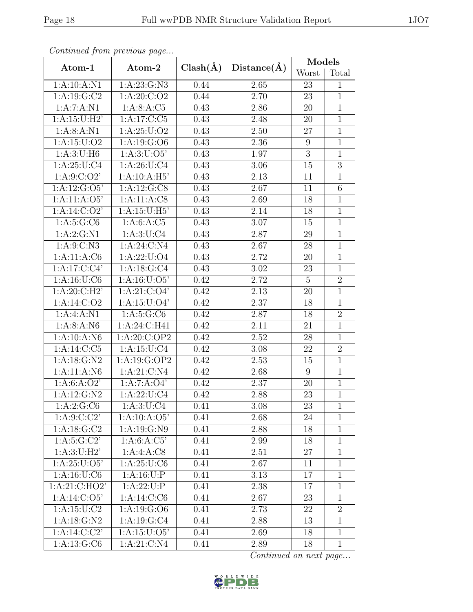|                           | Continuea from previous page |              |             | $\text{Mode}\overline{\text{ls}}$ |                |
|---------------------------|------------------------------|--------------|-------------|-----------------------------------|----------------|
| Atom-1                    | Atom-2                       | $Clash(\AA)$ | Distance(A) | Worst                             | Total          |
| 1:A:10:A:N1               | 1: A:23: G: N3               | 0.44         | 2.65        | 23                                | $\mathbf{1}$   |
| 1: A: 19: G: C2           | 1: A:20: C:O2                | 0.44         | 2.70        | 23                                | $\mathbf{1}$   |
| 1:A:7:A:N1                | 1: A:8: A:C5                 | 0.43         | 2.86        | 20                                | $\mathbf{1}$   |
| 1: A:15:U:H2'             | 1:A:17:C:C5                  | 0.43         | 2.48        | 20                                | $\overline{1}$ |
| 1: A:8: A: N1             | 1: A:25: U:O2                | 0.43         | 2.50        | 27                                | $\mathbf{1}$   |
| 1: A: 15: U: O2           | 1: A: 19: G: O6              | 0.43         | 2.36        | $\boldsymbol{9}$                  | $\mathbf{1}$   |
| 1: A:3: U:H6              | 1: A:3: U:O5'                | 0.43         | 1.97        | 3                                 | $\mathbf{1}$   |
| $1:$ A:25:U:C4            | 1: A:26: U: C4               | 0.43         | 3.06        | 15                                | $\overline{3}$ |
| 1: A:9:C:O2'              | 1:A:10:A:H5'                 | 0.43         | 2.13        | 11                                | $\mathbf{1}$   |
| 1: A:12: G:O5'            | 1:A:12:G:CS                  | 0.43         | 2.67        | 11                                | 6              |
| 1:A:11:A:O5'              | 1:A:11:A:CS                  | 0.43         | 2.69        | 18                                | $\mathbf{1}$   |
| 1: A:14: C:O2'            | 1: A:15:U:H5'                | 0.43         | 2.14        | 18                                | $\mathbf{1}$   |
| 1:A:5:G:C6                | 1: A:6:A:C5                  | 0.43         | 3.07        | 15                                | $\mathbf{1}$   |
| 1: A:2: G:N1              | 1: A:3: U: C4                | 0.43         | 2.87        | 29                                | $\mathbf{1}$   |
| 1: A:9:C:N3               | 1:A:24:C:N4                  | 0.43         | 2.67        | 28                                | $\mathbf{1}$   |
| 1:A:11:A:C6               | 1: A: 22: U: O4              | 0.43         | 2.72        | 20                                | $\mathbf{1}$   |
| $1:A:17:\overline{C:C4'}$ | 1: A: 18: G: C4              | 0.43         | 3.02        | 23                                | $\mathbf{1}$   |
| 1:A:16:U:C6               | 1: A: 16: U: O5'             | 0.42         | 2.72        | $\overline{5}$                    | $\overline{2}$ |
| 1: A:20: C: H2'           | 1: A:21: C:O4'               | 0.42         | 2.13        | 20                                | $\overline{1}$ |
| 1: A:14: C:O2             | 1: A: 15: U: O4'             | 0.42         | 2.37        | 18                                | $\mathbf{1}$   |
| 1: A: 4: A: N1            | 1: A:5: G:CO                 | 0.42         | 2.87        | 18                                | $\overline{2}$ |
| 1: A:8: A: N6             | 1:A:24:C:H41                 | 0.42         | 2.11        | 21                                | $\mathbf{1}$   |
| 1:A:10:A:N6               | 1:A:20:C:OP2                 | 0.42         | 2.52        | 28                                | $\overline{1}$ |
| 1: A: 14: C: C5           | 1: A: 15: U: C4              | 0.42         | 3.08        | 22                                | $\overline{2}$ |
| 1: A: 18: G: N2           | 1: A: 19: G: OP2             | 0.42         | 2.53        | 15                                | $\mathbf{1}$   |
| 1:A:11:A:N6               | 1: A:21: C: N4               | 0.42         | 2.68        | 9                                 | $\mathbf{1}$   |
| 1: A:6: A:O2'             | 1:A:7:A:O4'                  | 0.42         | 2.37        | 20                                | $\mathbf{1}$   |
| 1:A:12:G:N2               | 1:A:22:U:C4                  | 0.42         | 2.88        | $23\,$                            | $\mathbf 1$    |
| 1:A:2:G:C6                | 1: A:3: U: C4                | 0.41         | 3.08        | 23                                | $\mathbf{1}$   |
| 1: A:9:C:C2'              | 1:A:10:A:O5'                 | 0.41         | 2.68        | 24                                | $\mathbf{1}$   |
| 1: A: 18: G: C2           | 1: A: 19: G: N9              | 0.41         | 2.88        | 18                                | $\mathbf{1}$   |
| 1: A:5: G:C2'             | 1: A:6: A: C5'               | 0.41         | 2.99        | 18                                | $\mathbf{1}$   |
| $1:A:3:U:\overline{H2'}$  | 1:A:4:A:C8                   | 0.41         | 2.51        | 27                                | $\mathbf{1}$   |
| 1: A:25: U:O5'            | 1: A:25: U: C6               | 0.41         | 2.67        | 11                                | $\mathbf{1}$   |
| 1: A: 16: U: C6           | 1: A: 16: U: P               | 0.41         | 3.13        | 17                                | $\mathbf{1}$   |
| 1:A:21:C:HO2'             | 1:A:22:U:P                   | 0.41         | 2.38        | 17                                | $\mathbf{1}$   |
| $1:A:14:C:O\overline{5'}$ | 1:A:14:C:C6                  | 0.41         | 2.67        | 23                                | $\mathbf{1}$   |
| 1: A: 15: U: C2           | 1:A:19:G:O6                  | 0.41         | 2.73        | 22                                | $\overline{2}$ |
| 1: A: 18: G: N2           | 1: A: 19: G: C4              | 0.41         | 2.88        | 13                                | $\mathbf{1}$   |
| 1: A:14: C: C2'           | 1: A: 15: U: O5'             | 0.41         | 2.69        | 18                                | $\mathbf{1}$   |
| 1: A: 13: G: C6           | 1:A:21:C:N4                  | 0.41         | 2.89        | 18                                | $\mathbf{1}$   |

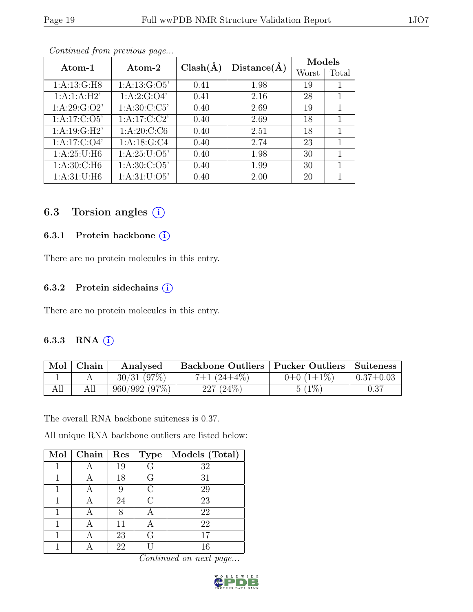|  |  | ΤÛ | ٦ |
|--|--|----|---|
|  |  |    |   |
|  |  |    |   |
|  |  |    |   |

| Atom-1           | Atom-2           | $Clash(\AA)$ | Distance(A) | Models |       |  |  |  |  |  |  |
|------------------|------------------|--------------|-------------|--------|-------|--|--|--|--|--|--|
|                  |                  |              |             | Worst  | Total |  |  |  |  |  |  |
| 1: A: 13: G:H8   | 1: A: 13: G: O5' | 0.41         | 1.98        | 19     |       |  |  |  |  |  |  |
| 1:A:1:A:H2'      | 1: A:2: G:O4'    | 0.41         | 2.16        | 28     |       |  |  |  |  |  |  |
| 1: A:29: G:O2'   | 1: A:30: C: C5'  | 0.40         | 2.69        | 19     |       |  |  |  |  |  |  |
| 1: A:17: C:O5'   | 1: A:17: C: C2'  | 0.40         | 2.69        | 18     |       |  |  |  |  |  |  |
| 1: A:19: G:H2'   | 1: A:20: C: C6   | 0.40         | 2.51        | 18     |       |  |  |  |  |  |  |
| 1: A: 17: C: O4' | 1: A: 18: G: C4  | 0.40         | 2.74        | 23     |       |  |  |  |  |  |  |
| 1:A:25:U:H6      | 1: A:25: U:O5'   | 0.40         | 1.98        | 30     |       |  |  |  |  |  |  |
| 1: A:30: C:H6    | 1: A:30: C:O5'   | 0.40         | 1.99        | 30     |       |  |  |  |  |  |  |
| 1: A:31: U:H6    | 1: A:31: U:O5'   | 0.40         | 2.00        | 20     |       |  |  |  |  |  |  |

## 6.3 Torsion angles  $(i)$

#### 6.3.1 Protein backbone (i)

There are no protein molecules in this entry.

#### 6.3.2 Protein sidechains  $(i)$

There are no protein molecules in this entry.

#### 6.3.3 RNA  $(i)$

| Mol | Chain | Analysed     | Backbone Outliers   Pucker Outliers   Suiteness |                       |                 |
|-----|-------|--------------|-------------------------------------------------|-----------------------|-----------------|
|     |       | 30/31(97%)   | $7\pm1(24\pm4\%)$                               | $0\pm 0$ $(1\pm 1\%)$ | $0.37 \pm 0.03$ |
| All |       | 960/992(97%) | $227(24\%)$                                     | $5(1\%)$              | 0.37            |

The overall RNA backbone suiteness is 0.37.

All unique RNA backbone outliers are listed below:

| Mol | Chain | Res | Type | Models (Total) |
|-----|-------|-----|------|----------------|
|     |       | 19  | G    | 32             |
|     |       | 18  | G    | 31             |
|     |       | 9   |      | 29             |
|     |       | 24  | ( )  | 23             |
|     |       | Χ   |      | 22             |
|     |       | 11  |      | 22             |
|     |       | 23  | ( Հ  | 17             |
|     |       | 22  |      | 16             |

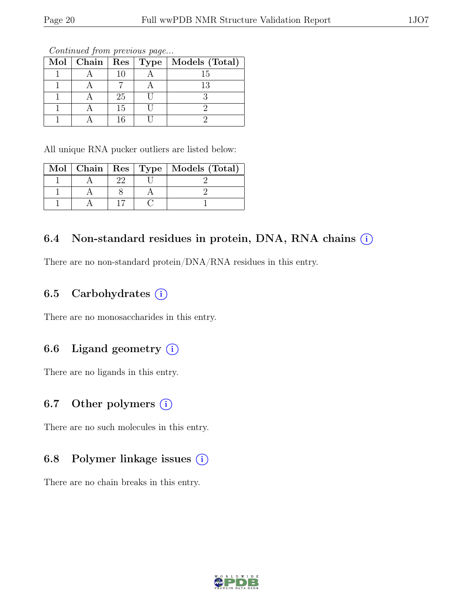|  |    | Mol   Chain   Res   Type   Models (Total) |
|--|----|-------------------------------------------|
|  | 10 |                                           |
|  |    | 13                                        |
|  | 25 |                                           |
|  | 15 |                                           |
|  |    |                                           |

All unique RNA pucker outliers are listed below:

|  |  | Mol   Chain   Res   Type   Models (Total) |
|--|--|-------------------------------------------|
|  |  |                                           |
|  |  |                                           |
|  |  |                                           |

## 6.4 Non-standard residues in protein, DNA, RNA chains  $(i)$

There are no non-standard protein/DNA/RNA residues in this entry.

## 6.5 Carbohydrates  $(i)$

There are no monosaccharides in this entry.

## 6.6 Ligand geometry  $(i)$

There are no ligands in this entry.

### 6.7 Other polymers  $(i)$

There are no such molecules in this entry.

## 6.8 Polymer linkage issues  $(i)$

There are no chain breaks in this entry.